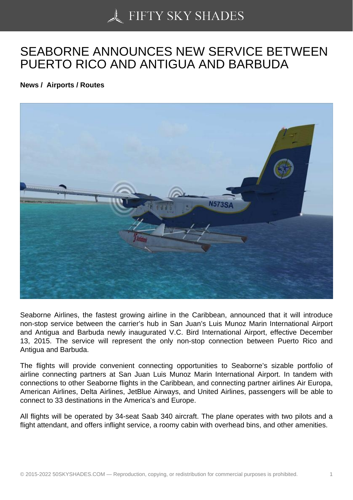## [SEABORNE ANNOUN](https://50skyshades.com)CES NEW SERVICE BETWEEN PUERTO RICO AND ANTIGUA AND BARBUDA

News / Airports / Routes

Seaborne Airlines, the fastest growing airline in the Caribbean, announced that it will introduce non-stop service between the carrier's hub in San Juan's Luis Munoz Marin International Airport and Antigua and Barbuda newly inaugurated V.C. Bird International Airport, effective December 13, 2015. The service will represent the only non-stop connection between Puerto Rico and Antigua and Barbuda.

The flights will provide convenient connecting opportunities to Seaborne's sizable portfolio of airline connecting partners at San Juan Luis Munoz Marin International Airport. In tandem with connections to other Seaborne flights in the Caribbean, and connecting partner airlines Air Europa, American Airlines, Delta Airlines, JetBlue Airways, and United Airlines, passengers will be able to connect to 33 destinations in the America's and Europe.

All flights will be operated by 34-seat Saab 340 aircraft. The plane operates with two pilots and a flight attendant, and offers inflight service, a roomy cabin with overhead bins, and other amenities.